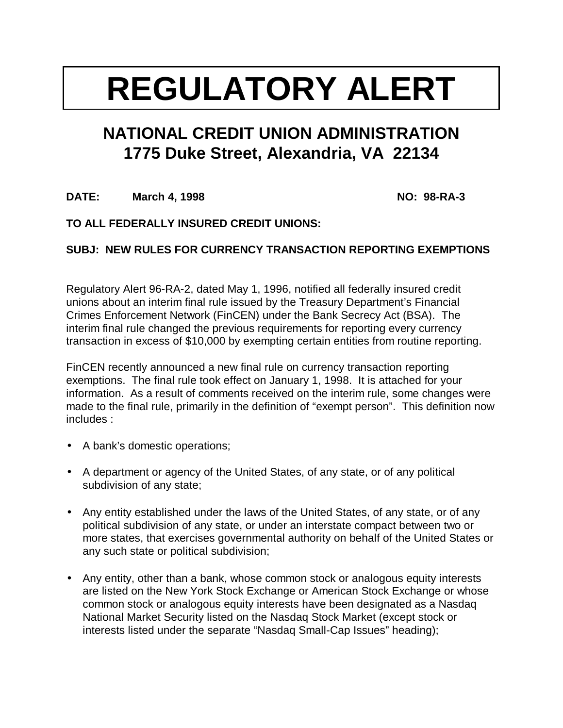# **REGULATORY ALERT**

# **NATIONAL CREDIT UNION ADMINISTRATION 1775 Duke Street, Alexandria, VA 22134**

**DATE: March 4, 1998 NO: 98-RA-3**

## **TO ALL FEDERALLY INSURED CREDIT UNIONS:**

## **SUBJ: NEW RULES FOR CURRENCY TRANSACTION REPORTING EXEMPTIONS**

Regulatory Alert 96-RA-2, dated May 1, 1996, notified all federally insured credit unions about an interim final rule issued by the Treasury Department's Financial Crimes Enforcement Network (FinCEN) under the Bank Secrecy Act (BSA). The interim final rule changed the previous requirements for reporting every currency transaction in excess of \$10,000 by exempting certain entities from routine reporting.

FinCEN recently announced a new final rule on currency transaction reporting exemptions. The final rule took effect on January 1, 1998. It is attached for your information. As a result of comments received on the interim rule, some changes were made to the final rule, primarily in the definition of "exempt person". This definition now includes :

- A bank's domestic operations;
- A department or agency of the United States, of any state, or of any political subdivision of any state;
- Any entity established under the laws of the United States, of any state, or of any political subdivision of any state, or under an interstate compact between two or more states, that exercises governmental authority on behalf of the United States or any such state or political subdivision;
- Any entity, other than a bank, whose common stock or analogous equity interests are listed on the New York Stock Exchange or American Stock Exchange or whose common stock or analogous equity interests have been designated as a Nasdaq National Market Security listed on the Nasdaq Stock Market (except stock or interests listed under the separate "Nasdaq Small-Cap Issues" heading);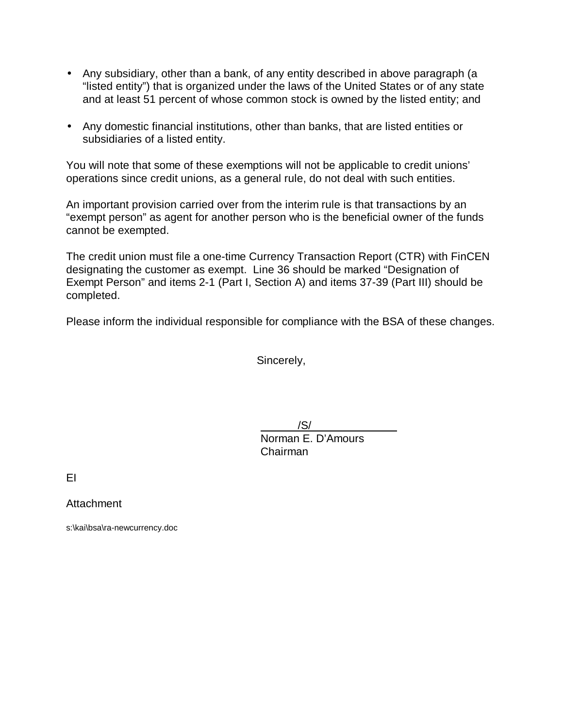- Any subsidiary, other than a bank, of any entity described in above paragraph (a "listed entity") that is organized under the laws of the United States or of any state and at least 51 percent of whose common stock is owned by the listed entity; and
- Any domestic financial institutions, other than banks, that are listed entities or subsidiaries of a listed entity.

You will note that some of these exemptions will not be applicable to credit unions' operations since credit unions, as a general rule, do not deal with such entities.

An important provision carried over from the interim rule is that transactions by an "exempt person" as agent for another person who is the beneficial owner of the funds cannot be exempted.

The credit union must file a one-time Currency Transaction Report (CTR) with FinCEN designating the customer as exempt. Line 36 should be marked "Designation of Exempt Person" and items 2-1 (Part I, Section A) and items 37-39 (Part III) should be completed.

Please inform the individual responsible for compliance with the BSA of these changes.

Sincerely,

 /S/ Norman E. D'Amours Chairman

EI

Attachment

s:\kai\bsa\ra-newcurrency.doc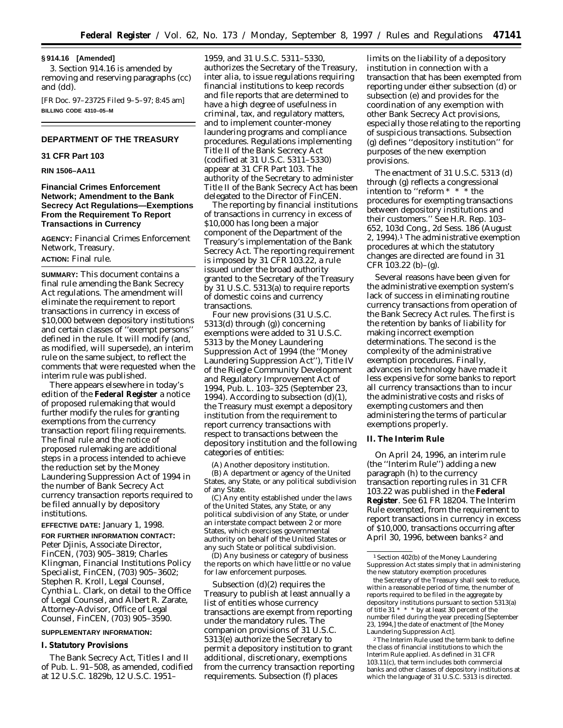#### **§ 914.16 [Amended]**

3. Section 914.16 is amended by removing and reserving paragraphs (cc) and (dd).

[FR Doc. 97–23725 Filed 9–5–97; 8:45 am] **BILLING CODE 4310–05–M**

#### **DEPARTMENT OF THE TREASURY**

#### **31 CFR Part 103**

**RIN 1506–AA11**

#### **Financial Crimes Enforcement Network; Amendment to the Bank Secrecy Act Regulations—Exemptions From the Requirement To Report Transactions in Currency**

**AGENCY:** Financial Crimes Enforcement Network, Treasury.

#### **ACTION:** Final rule.

**SUMMARY:** This document contains a final rule amending the Bank Secrecy Act regulations. The amendment will eliminate the requirement to report transactions in currency in excess of \$10,000 between depository institutions and certain classes of ''exempt persons'' defined in the rule. It will modify (and, as modified, will supersede), an interim rule on the same subject, to reflect the comments that were requested when the interim rule was published.

There appears elsewhere in today's edition of the **Federal Register** a notice of proposed rulemaking that would further modify the rules for granting exemptions from the currency transaction report filing requirements. The final rule and the notice of proposed rulemaking are additional steps in a process intended to achieve the reduction set by the Money Laundering Suppression Act of 1994 in the number of Bank Secrecy Act currency transaction reports required to be filed annually by depository institutions.

**EFFECTIVE DATE:** January 1, 1998.

**FOR FURTHER INFORMATION CONTACT:**

Peter Djinis, Associate Director, FinCEN, (703) 905–3819; Charles Klingman, Financial Institutions Policy Specialist, FinCEN, (703) 905–3602; Stephen R. Kroll, Legal Counsel, Cynthia L. Clark, on detail to the Office of Legal Counsel, and Albert R. Zarate, Attorney-Advisor, Office of Legal Counsel, FinCEN, (703) 905–3590.

#### **SUPPLEMENTARY INFORMATION:**

#### **I. Statutory Provisions**

The Bank Secrecy Act, Titles I and II of Pub. L. 91–508, as amended, codified at 12 U.S.C. 1829b, 12 U.S.C. 1951–

1959, and 31 U.S.C. 5311–5330, authorizes the Secretary of the Treasury, *inter alia,* to issue regulations requiring financial institutions to keep records and file reports that are determined to have a high degree of usefulness in criminal, tax, and regulatory matters, and to implement counter-money laundering programs and compliance procedures. Regulations implementing Title II of the Bank Secrecy Act (codified at 31 U.S.C. 5311–5330) appear at 31 CFR Part 103. The authority of the Secretary to administer Title II of the Bank Secrecy Act has been delegated to the Director of FinCEN.

The reporting by financial institutions of transactions in currency in excess of \$10,000 has long been a major component of the Department of the Treasury's implementation of the Bank Secrecy Act. The reporting requirement is imposed by 31 CFR 103.22, a rule issued under the broad authority granted to the Secretary of the Treasury by 31 U.S.C. 5313(a) to require reports of domestic coins and currency transactions.

Four new provisions (31 U.S.C. 5313(d) through (g)) concerning exemptions were added to 31 U.S.C. 5313 by the Money Laundering Suppression Act of 1994 (the ''Money Laundering Suppression Act''), Title IV of the Riegle Community Development and Regulatory Improvement Act of 1994, Pub. L. 103–325 (September 23, 1994). According to subsection (d)(1), the Treasury must exempt a depository institution from the requirement to report currency transactions with respect to transactions between the depository institution and the following categories of entities:

(A) Another depository institution. (B) A department or agency of the United States, any State, or any political subdivision of any State.

(C) Any entity established under the laws of the United States, any State, or any political subdivision of any State, or under an interstate compact between 2 or more States, which exercises governmental authority on behalf of the United States or any such State or political subdivision.

(D) Any business or category of business the reports on which have little or no value for law enforcement purposes.

Subsection (d)(2) requires the Treasury to publish at least annually a list of entities whose currency transactions are exempt from reporting under the mandatory rules. The companion provisions of 31 U.S.C. 5313(e) authorize the Secretary to permit a depository institution to grant additional, discretionary, exemptions from the currency transaction reporting requirements. Subsection (f) places

limits on the liability of a depository institution in connection with a transaction that has been exempted from reporting under either subsection (d) or subsection (e) and provides for the coordination of any exemption with other Bank Secrecy Act provisions, especially those relating to the reporting of suspicious transactions. Subsection (g) defines ''depository institution'' for purposes of the new exemption provisions.

The enactment of 31 U.S.C. 5313 (d) through (g) reflects a congressional intention to ''reform \* \* \* the procedures for exempting transactions between depository institutions and their customers.'' *See* H.R. Rep. 103– 652, 103d Cong., 2d Sess. 186 (August 2, 1994).1 The administrative exemption procedures at which the statutory changes are directed are found in 31 CFR 103.22 (b)–(g).

Several reasons have been given for the administrative exemption system's lack of success in eliminating routine currency transactions from operation of the Bank Secrecy Act rules. The first is the retention by banks of liability for making incorrect exemption determinations. The second is the complexity of the administrative exemption procedures. Finally, advances in technology have made it less expensive for some banks to report all currency transactions than to incur the administrative costs and risks of exempting customers and then administering the terms of particular exemptions properly.

#### **II. The Interim Rule**

On April 24, 1996, an interim rule (the ''Interim Rule'') adding a new paragraph (h) to the currency transaction reporting rules in 31 CFR 103.22 was published in the **Federal Register**. *See* 61 FR 18204. The Interim Rule exempted, from the requirement to report transactions in currency in excess of \$10,000, transactions occurring after April 30, 1996, between banks 2 and

2The Interim Rule used the term *bank* to define the class of financial institutions to which the Interim Rule applied. As defined in 31 CFR 103.11(c), that term includes both commercial banks and other classes of depository institutions at which the language of 31 U.S.C. 5313 is directed.

<sup>1</sup>Section 402(b) of the Money Laundering Suppression Act states simply that in administering the new statutory exemption procedures

the Secretary of the Treasury shall seek to reduce, within a reasonable period of time, the number of reports required to be filed in the aggregate by depository institutions pursuant to section 5313(a) of title 31 \* \* \* by at least 30 percent of the number filed during the year preceding [September 23, 1994,] the date of enactment of [the Money Laundering Suppression Act].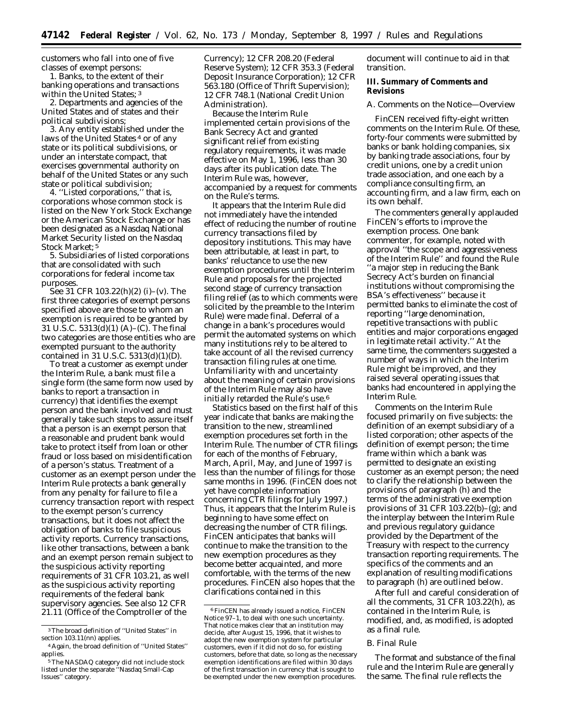customers who fall into one of five classes of exempt persons:

1. Banks, to the extent of their banking operations and transactions within the United States; 3

2. Departments and agencies of the United States and of states and their political subdivisions;

3. Any entity established under the laws of the United States 4 or of any state or its political subdivisions, or under an interstate compact, that exercises governmental authority on behalf of the United States or any such state or political subdivision;

4. ''Listed corporations,'' that is, corporations whose common stock is listed on the New York Stock Exchange or the American Stock Exchange or has been designated as a Nasdaq National Market Security listed on the Nasdaq Stock Market; 5

5. Subsidiaries of listed corporations that are consolidated with such corporations for federal income tax purposes.

*See* 31 CFR 103.22(h)(2) (i)–(v). The first three categories of exempt persons specified above are those to whom an exemption is required to be granted by 31 U.S.C. 5313(d)(1) (A)–(C). The final two categories are those entities who are exempted pursuant to the authority contained in 31 U.S.C. 5313(d)(1)(D).

To treat a customer as exempt under the Interim Rule, a bank must file a single form (the same form now used by banks to report a transaction in currency) that identifies the exempt person and the bank involved and must generally take such steps to assure itself that a person is an exempt person that a reasonable and prudent bank would take to protect itself from loan or other fraud or loss based on misidentification of a person's status. Treatment of a customer as an exempt person under the Interim Rule protects a bank generally from any penalty for failure to file a currency transaction report with respect to the exempt person's currency transactions, but it does not affect the obligation of banks to file suspicious activity reports. Currency transactions, like other transactions, between a bank and an exempt person remain subject to the suspicious activity reporting requirements of 31 CFR 103.21, as well as the suspicious activity reporting requirements of the federal bank supervisory agencies. *See also* 12 CFR 21.11 (Office of the Comptroller of the

Currency); 12 CFR 208.20 (Federal Reserve System); 12 CFR 353.3 (Federal Deposit Insurance Corporation); 12 CFR 563.180 (Office of Thrift Supervision); 12 CFR 748.1 (National Credit Union Administration).

Because the Interim Rule implemented certain provisions of the Bank Secrecy Act and granted significant relief from existing regulatory requirements, it was made effective on May 1, 1996, less than 30 days after its publication date. The Interim Rule was, however, accompanied by a request for comments on the Rule's terms.

It appears that the Interim Rule did not immediately have the intended effect of reducing the number of routine currency transactions filed by depository institutions. This may have been attributable, at least in part, to banks' reluctance to use the new exemption procedures until the Interim Rule and proposals for the projected second stage of currency transaction filing relief (as to which comments were solicited by the preamble to the Interim Rule) were made final. Deferral of a change in a bank's procedures would permit the automated systems on which many institutions rely to be altered to take account of all the revised currency transaction filing rules at one time. Unfamiliarity with and uncertainty about the meaning of certain provisions of the Interim Rule may also have initially retarded the Rule's use.6

Statistics based on the first half of this year indicate that banks are making the transition to the new, streamlined exemption procedures set forth in the Interim Rule. The number of CTR filings for each of the months of February, March, April, May, and June of 1997 is less than the number of filings for those same months in 1996. (FinCEN does not yet have complete information concerning CTR filings for July 1997.) Thus, it appears that the Interim Rule is beginning to have some effect on decreasing the number of CTR filings. FinCEN anticipates that banks will continue to make the transition to the new exemption procedures as they become better acquainted, and more comfortable, with the terms of the new procedures. FinCEN also hopes that the clarifications contained in this

document will continue to aid in that transition.

#### **III. Summary of Comments and Revisions**

#### *A. Comments on the Notice—Overview*

FinCEN received fifty-eight written comments on the Interim Rule. Of these, forty-four comments were submitted by banks or bank holding companies, six by banking trade associations, four by credit unions, one by a credit union trade association, and one each by a compliance consulting firm, an accounting firm, and a law firm, each on its own behalf.

The commenters generally applauded FinCEN's efforts to improve the exemption process. One bank commenter, for example, noted with approval ''the scope and aggressiveness of the Interim Rule'' and found the Rule ''a major step in reducing the Bank Secrecy Act's burden on financial institutions without compromising the BSA's effectiveness'' because it permitted banks to eliminate the cost of reporting ''large denomination, repetitive transactions with public entities and major corporations engaged in legitimate retail activity.'' At the same time, the commenters suggested a number of ways in which the Interim Rule might be improved, and they raised several operating issues that banks had encountered in applying the Interim Rule.

Comments on the Interim Rule focused primarily on five subjects: the definition of an exempt subsidiary of a listed corporation; other aspects of the definition of exempt person; the time frame within which a bank was permitted to designate an existing customer as an exempt person; the need to clarify the relationship between the provisions of paragraph (h) and the terms of the administrative exemption provisions of 31 CFR 103.22(b)–(g); and the interplay between the Interim Rule and previous regulatory guidance provided by the Department of the Treasury with respect to the currency transaction reporting requirements. The specifics of the comments and an explanation of resulting modifications to paragraph (h) are outlined below.

After full and careful consideration of all the comments, 31 CFR 103.22(h), as contained in the Interim Rule, is modified, and, as modified, is adopted as a final rule.

#### *B. Final Rule*

The format and substance of the final rule and the Interim Rule are generally the same. The final rule reflects the

<sup>3</sup>The broad definition of ''United States'' in section 103.11(nn) applies.

<sup>4</sup>Again, the broad definition of ''United States'' applies.

<sup>&</sup>lt;sup>5</sup>The NASDAQ category did not include stock listed under the separate ''Nasdaq Small-Cap Issues'' category.

<sup>6</sup>FinCEN has already issued a notice, FinCEN Notice 97–1, to deal with one such uncertainty. That notice makes clear that an institution may decide, after August 15, 1996, that it wishes to adopt the new exemption system for particular customers, even if it did not do so, for existing customers, before that date, so long as the necessary exemption identifications are filed within 30 days of the first transaction in currency that is sought to be exempted under the new exemption procedures.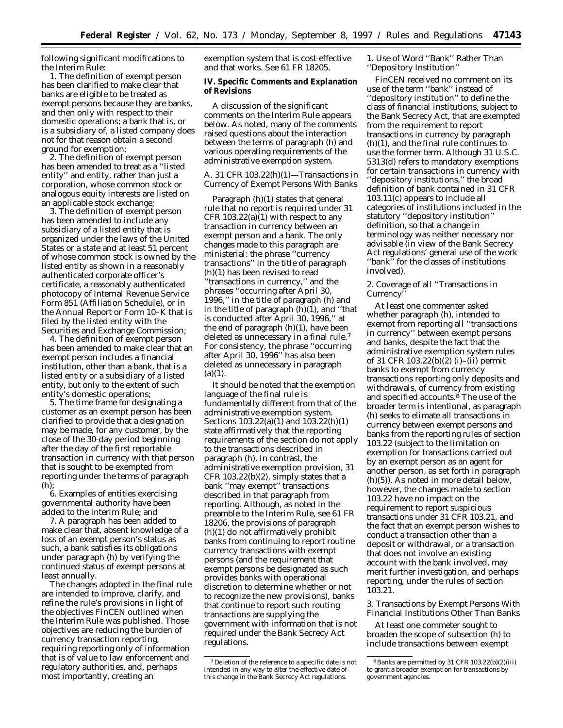following significant modifications to the Interim Rule:

1. The definition of exempt person has been clarified to make clear that banks are eligible to be treated as exempt persons because they are banks, and then only with respect to their domestic operations; a bank that is, or is a subsidiary of, a listed company does not for that reason obtain a second ground for exemption;

2. The definition of exempt person has been amended to treat as a ''listed entity'' and entity, rather than just a corporation, whose common stock or analogous equity interests are listed on an applicable stock exchange;

3. The definition of exempt person has been amended to include any subsidiary of a listed entity that is organized under the laws of the United States or a state and at least 51 percent of whose common stock is owned by the listed entity as shown in a reasonably authenticated corporate officer's certificate, a reasonably authenticated photocopy of Internal Revenue Service Form 851 (Affiliation Schedule), or in the Annual Report or Form 10–K that is filed by the listed entity with the Securities and Exchange Commission;

4. The definition of exempt person has been amended to make clear that an exempt person includes a financial institution, other than a bank, that is a listed entity or a subsidiary of a listed entity, but only to the extent of such entity's domestic operations;

5. The time frame for designating a customer as an exempt person has been clarified to provide that a designation may be made, for any customer, by the close of the 30-day period beginning after the day of the first reportable transaction in currency with that person that is sought to be exempted from reporting under the terms of paragraph (h);

6. Examples of entities exercising governmental authority have been added to the Interim Rule; and

7. A paragraph has been added to make clear that, absent knowledge of a loss of an exempt person's status as such, a bank satisfies its obligations under paragraph (h) by verifying the continued status of exempt persons at least annually.

The changes adopted in the final rule are intended to improve, clarify, and refine the rule's provisions in light of the objectives FinCEN outlined when the Interim Rule was published. Those objectives are reducing the burden of currency transaction reporting, requiring reporting only of information that is of value to law enforcement and regulatory authorities, and, perhaps most importantly, creating an

exemption system that is cost-effective and that works. *See* 61 FR 18205.

#### **IV. Specific Comments and Explanation of Revisions**

A discussion of the significant comments on the Interim Rule appears below. As noted, many of the comments raised questions about the interaction between the terms of paragraph (h) and various operating requirements of the administrative exemption system.

#### *A. 31 CFR 103.22(h)(1)—Transactions in Currency of Exempt Persons With Banks*

Paragraph (h)(1) states that general rule that no report is required under 31 CFR  $103.22(a)(1)$  with respect to any transaction in currency between an exempt person and a bank. The only changes made to this paragraph are ministerial: the phrase ''currency transactions'' in the title of paragraph (h)(1) has been revised to read ''transactions in currency,'' and the phrases ''occurring after April 30, 1996,'' in the title of paragraph (h) and in the title of paragraph (h)(1), and ''that is conducted after April 30, 1996,'' at the end of paragraph (h)(1), have been deleted as unnecessary in a final rule.7 For consistency, the phrase ''occurring after April 30, 1996'' has also been deleted as unnecessary in paragraph  $(a)(1)$ .

It should be noted that the exemption language of the final rule is fundamentally different from that of the administrative exemption system. Sections 103.22(a)(1) and 103.22(h)(1) state affirmatively that the reporting requirements of the section do not apply to the transactions described in paragraph (h). In contrast, the administrative exemption provision, 31 CFR 103.22(b)(2), simply states that a bank ''may exempt'' transactions described in that paragraph from reporting. Although, as noted in the preamble to the Interim Rule, *see* 61 FR 18206, the provisions of paragraph (h)(1) do not affirmatively prohibit banks from continuing to report routine currency transactions with exempt persons (and the requirement that exempt persons be designated as such provides banks with operational discretion to determine whether or not to recognize the new provisions), banks that continue to report such routing transactions are supplying the government with information that is not required under the Bank Secrecy Act regulations.

1. Use of Word ''Bank'' Rather Than ''Depository Institution''

FinCEN received no comment on its use of the term ''bank'' instead of ''depository institution'' to define the class of financial institutions, subject to the Bank Secrecy Act, that are exempted from the requirement to report transactions in currency by paragraph (h)(1), and the final rule continues to use the former term. Although 31 U.S.C. 5313(d) refers to mandatory exemptions for certain transactions in currency with ''depository institutions,'' the broad definition of bank contained in 31 CFR 103.11(c) appears to include all categories of institutions included in the statutory ''depository institution'' definition, so that a change in terminology was neither necessary nor advisable (in view of the Bank Secrecy Act regulations' general use of the work ''bank'' for the classes of institutions involved).

#### 2. Coverage of all ''Transactions in Currency''

At least one commenter asked whether paragraph (h), intended to exempt from reporting all ''transactions in currency'' between exempt persons and banks, despite the fact that the administrative exemption system rules of 31 CFR 103.22(b)(2) (i)–(ii) permit banks to exempt from currency transactions reporting only deposits and withdrawals, of currency from existing and specified accounts.8 The use of the broader term is intentional, as paragraph (h) seeks to elimate all transactions in currency between exempt persons and banks from the reporting rules of section 103.22 (subject to the limitation on exemption for transactions carried out by an exempt person as an agent for another person, as set forth in paragraph (h)(5)). As noted in more detail below, however, the changes made to section 103.22 have no impact on the requirement to report suspicious transactions under 31 CFR 103.21, and the fact that an exempt person wishes to conduct a transaction other than a deposit or withdrawal, or a transaction that does not involve an existing account with the bank involved, may merit further investigation, and perhaps reporting, under the rules of section 103.21.

3. Transactions by Exempt Persons With Financial Institutions Other Than Banks

At least one commeter sought to broaden the scope of subsection (h) to include transactions between exempt

<sup>7</sup> Deletion of the reference to a specific date is not intended in any way to alter the effective date of this change in the Bank Secrecy Act regulations.

<sup>8</sup>Banks are permitted by 31 CFR 103.22(b)(2)(iii) to grant a broader exemption for transactions by government agencies.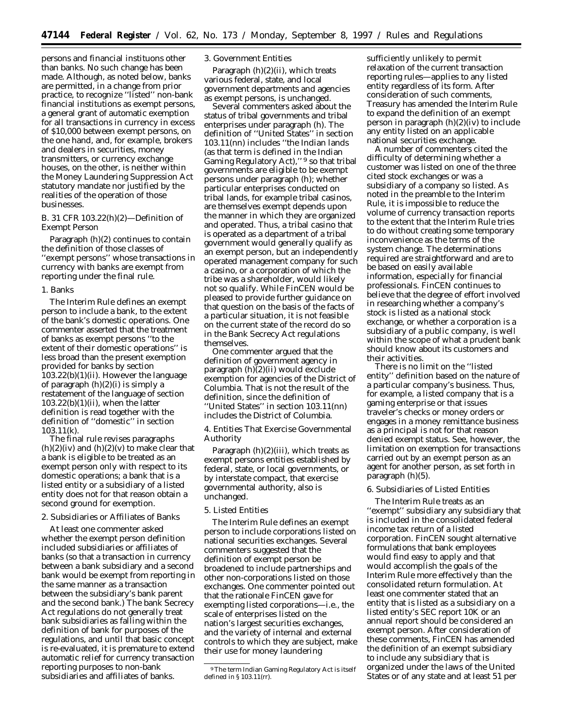persons and financial instituons other than banks. No such change has been made. Although, as noted below, banks are permitted, in a change from prior practice, to recognize ''listed'' non-bank financial institutions as exempt persons, a general grant of automatic exemption for all transactions in currency in excess of \$10,000 between exempt persons, on the one hand, and, for example, brokers and dealers in securities, money transmitters, or currency exchange houses, on the other, is neither within the Money Laundering Suppression Act statutory mandate nor justified by the realities of the operation of those businesses.

#### *B. 31 CFR 103.22(h)(2)—Definition of Exempt Person*

Paragraph (h)(2) continues to contain the definition of those classes of ''exempt persons'' whose transactions in currency with banks are exempt from reporting under the final rule.

#### 1. Banks

The Interim Rule defines an exempt person to include a bank, to the extent of the bank's domestic operations. One commenter asserted that the treatment of banks as exempt persons ''to the extent of their domestic operations'' is less broad than the present exemption provided for banks by section 103.22(b)(1)(ii). However the language of paragraph (h)(2)(i) is simply a restatement of the language of section  $103.22(b)(1)(ii)$ , when the latter definition is read together with the definition of ''domestic'' in section 103.11(k).

The final rule revises paragraphs  $(h)(2)(iv)$  and  $(h)(2)(v)$  to make clear that a bank is eligible to be treated as an exempt person only with respect to its domestic operations; a bank that is a listed entity or a subsidiary of a listed entity does not for that reason obtain a second ground for exemption.

#### 2. Subsidiaries or Affiliates of Banks

At least one commenter asked whether the exempt person definition included subsidiaries or affiliates of banks (so that a transaction in currency between a bank subsidiary and a second bank would be exempt from reporting in the same manner as a transaction between the subsidiary's bank parent and the second bank.) The bank Secrecy Act regulations do not generally treat bank subsidiaries as falling within the definition of bank for purposes of the regulations, and until that basic concept is re-evaluated, it is premature to extend automatic relief for currency transaction reporting purposes to non-bank subsidiaries and affiliates of banks.

#### 3. Government Entities

Paragraph (h)(2)(ii), which treats various federal, state, and local government departments and agencies as exempt persons, is unchanged.

Several commenters asked about the status of tribal governments and tribal enterprises under paragraph (h). The definition of ''United States'' in section 103.11(nn) includes ''the Indian lands (as that term is defined in the Indian Gaming Regulatory Act),'' 9 so that tribal governments are eligible to be exempt persons under paragraph (h); whether particular enterprises conducted on tribal lands, for example tribal casinos, are themselves exempt depends upon the manner in which they are organized and operated. Thus, a tribal casino that is operated as a department of a tribal government would generally qualify as an exempt person, but an independently operated management company for such a casino, or a corporation of which the tribe was a shareholder, would likely not so qualify. While FinCEN would be pleased to provide further guidance on that question on the basis of the facts of a particular situation, it is not feasible on the current state of the record do so in the Bank Secrecy Act regulations themselves.

One commenter argued that the definition of government agency in paragraph (h)(2)(ii) would exclude exemption for agencies of the District of Columbia. That is not the result of the definition, since the definition of ''United States'' in section 103.11(nn) includes the District of Columbia.

4. Entities That Exercise Governmental Authority

Paragraph  $(h)(2)(iii)$ , which treats as exempt persons entities established by federal, state, or local governments, or by interstate compact, that exercise governmental authority, also is unchanged.

#### 5. Listed Entities

The Interim Rule defines an exempt person to include corporations listed on national securities exchanges. Several commenters suggested that the definition of exempt person be broadened to include partnerships and other non-corporations listed on those exchanges. One commenter pointed out that the rationale FinCEN gave for exempting listed corporations—*i.e.,* the scale of enterprises listed on the nation's largest securities exchanges, and the variety of internal and external controls to which they are subject, make their use for money laundering

sufficiently unlikely to permit relaxation of the current transaction reporting rules—applies to any listed entity regardless of its form. After consideration of such comments, Treasury has amended the Interim Rule to expand the definition of an exempt person in paragraph (h)(2)(iv) to include any entity listed on an applicable national securities exchange.

A number of commenters cited the difficulty of determining whether a customer was listed on one of the three cited stock exchanges or was a subsidiary of a company so listed. As noted in the preamble to the Interim Rule, it is impossible to reduce the volume of currency transaction reports to the extent that the Interim Rule tries to do without creating some temporary inconvenience as the terms of the system change. The determinations required are straightforward and are to be based on easily available information, especially for financial professionals. FinCEN continues to believe that the degree of effort involved in researching whether a company's stock is listed as a national stock exchange, or whether a corporation is a subsidiary of a public company, is well within the scope of what a prudent bank should know about its customers and their activities.

There is no limit on the ''listed entity'' definition based on the nature of a particular company's business. Thus, for example, a listed company that is a gaming enterprise or that issues traveler's checks or money orders or engages in a money remittance business as a principal is not for that reason denied exempt status. See, however, the limitation on exemption for transactions carried out by an exempt person as an agent for another person, as set forth in paragraph (h)(5).

#### 6. Subsidiaries of Listed Entities

The Interim Rule treats as an ''exempt'' subsidiary any subsidiary that is included in the consolidated federal income tax return of a listed corporation. FinCEN sought alternative formulations that bank employees would find easy to apply and that would accomplish the goals of the Interim Rule more effectively than the consolidated return formulation. At least one commenter stated that an entity that is listed as a subsidiary on a listed entity's SEC report 10K or an annual report should be considered an exempt person. After consideration of these comments, FinCEN has amended the definition of an exempt subsidiary to include any subsidiary that is organized under the laws of the United States or of any state and at least 51 per

<sup>&</sup>lt;sup>9</sup>The term Indian Gaming Regulatory Act is itself defined in § 103.11(rr).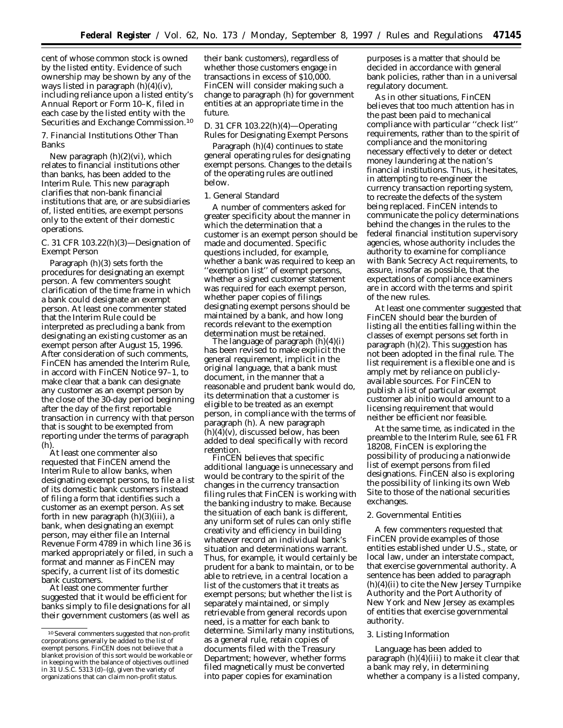cent of whose common stock is owned by the listed entity. Evidence of such ownership may be shown by any of the ways listed in paragraph (h)(4)(iv), including reliance upon a listed entity's Annual Report or Form 10–K, filed in each case by the listed entity with the Securities and Exchange Commission.<sup>10</sup>

7. Financial Institutions Other Than Banks

New paragraph (h)(2)(vi), which relates to financial institutions other than banks, has been added to the Interim Rule. This new paragraph clarifies that non-bank financial institutions that are, or are subsidiaries of, listed entities, are exempt persons only to the extent of their domestic operations.

#### *C. 31 CFR 103.22(h)(3)—Designation of Exempt Person*

Paragraph (h)(3) sets forth the procedures for designating an exempt person. A few commenters sought clarification of the time frame in which a bank could designate an exempt person. At least one commenter stated that the Interim Rule could be interpreted as precluding a bank from designating an existing customer as an exempt person after August 15, 1996. After consideration of such comments, FinCEN has amended the Interim Rule, in accord with FinCEN Notice 97–1, to make clear that a bank can designate any customer as an exempt person by the close of the 30-day period beginning after the day of the first reportable transaction in currency with that person that is sought to be exempted from reporting under the terms of paragraph (h).

At least one commenter also requested that FinCEN amend the Interim Rule to allow banks, when designating exempt persons, to file a list of its domestic bank customers instead of filing a form that identifies such a customer as an exempt person. As set forth in new paragraph (h)(3)(iii), a bank, when designating an exempt person, may either file an Internal Revenue Form 4789 in which line 36 is marked appropriately or filed, in such a format and manner as FinCEN may specify, a current list of its domestic bank customers.

At least one commenter further suggested that it would be efficient for banks simply to file designations for all their government customers (as well as

their bank customers), regardless of whether those customers engage in transactions in excess of \$10,000. FinCEN will consider making such a change to paragraph (h) for government entities at an appropriate time in the future.

#### *D. 31 CFR 103.22(h)(4)—Operating Rules for Designating Exempt Persons*

Paragraph (h)(4) continues to state general operating rules for designating exempt persons. Changes to the details of the operating rules are outlined below.

#### 1. General Standard

A number of commenters asked for greater specificity about the manner in which the determination that a customer is an exempt person should be made and documented. Specific questions included, for example, whether a bank was required to keep an ''exemption list'' of exempt persons, whether a signed customer statement was required for each exempt person, whether paper copies of filings designating exempt persons should be maintained by a bank, and how long records relevant to the exemption determination must be retained.

The language of paragraph (h)(4)(i) has been revised to make explicit the general requirement, implicit in the original language, that a bank must document, in the manner that a reasonable and prudent bank would do, its determination that a customer is eligible to be treated as an exempt person, in compliance with the terms of paragraph (h). A new paragraph  $(h)(4)(v)$ , discussed below, has been added to deal specifically with record retention.

FinCEN believes that specific additional language is unnecessary and would be contrary to the spirit of the changes in the currency transaction filing rules that FinCEN is working with the banking industry to make. Because the situation of each bank is different, any uniform set of rules can only stifle creativity and efficiency in building whatever record an individual bank's situation and determinations warrant. Thus, for example, it would certainly be prudent for a bank to maintain, or to be able to retrieve, in a central location a list of the customers that it treats as exempt persons; but whether the list is separately maintained, or simply retrievable from general records upon need, is a matter for each bank to determine. Similarly many institutions, as a general rule, retain copies of documents filed with the Treasury Department; however, whether forms filed magnetically must be converted into paper copies for examination

purposes is a matter that should be decided in accordance with general bank policies, rather than in a universal regulatory document.

As in other situations, FinCEN believes that too much attention has in the past been paid to mechanical compliance with particular ''check list'' requirements, rather than to the spirit of compliance and the monitoring necessary effectively to deter or detect money laundering at the nation's financial institutions. Thus, it hesitates, in attempting to re-engineer the currency transaction reporting system, to recreate the defects of the system being replaced. FinCEN intends to communicate the policy determinations behind the changes in the rules to the federal financial institution supervisory agencies, whose authority includes the authority to examine for compliance with Bank Secrecy Act requirements, to assure, insofar as possible, that the expectations of compliance examiners are in accord with the terms and spirit of the new rules.

At least one commenter suggested that FinCEN should bear the burden of listing all the entities falling within the classes of exempt persons set forth in paragraph (h)(2). This suggestion has not been adopted in the final rule. The list requirement is a flexible one and is amply met by reliance on publiclyavailable sources. For FinCEN to publish a list of particular exempt customer *ab initio* would amount to a licensing requirement that would neither be efficient nor feasible.

At the same time, as indicated in the preamble to the Interim Rule, *see* 61 FR 18208, FinCEN is exploring the possibility of producing a nationwide list of exempt persons from filed designations. FinCEN also is exploring the possibility of linking its own Web Site to those of the national securities exchanges.

#### 2. Governmental Entities

A few commenters requested that FinCEN provide examples of those entities established under U.S., state, or local law, under an interstate compact, that exercise governmental authority. A sentence has been added to paragraph  $(h)(4)(ii)$  to cite the New Jersey Turnpike Authority and the Port Authority of New York and New Jersey as examples of entities that exercise governmental authority.

#### 3. Listing Information

Language has been added to paragraph (h)(4)(iii) to make it clear that a bank may rely, in determining whether a company is a listed company,

<sup>10</sup>Several commenters suggested that non-profit corporations generally be added to the list of exempt persons. FinCEN does not believe that a blanket provision of this sort would be workable or in keeping with the balance of objectives outlined in 31  $\hat{U}$ .S.C. 5313 (d)–(g), given the variety of organizations that can claim non-profit status.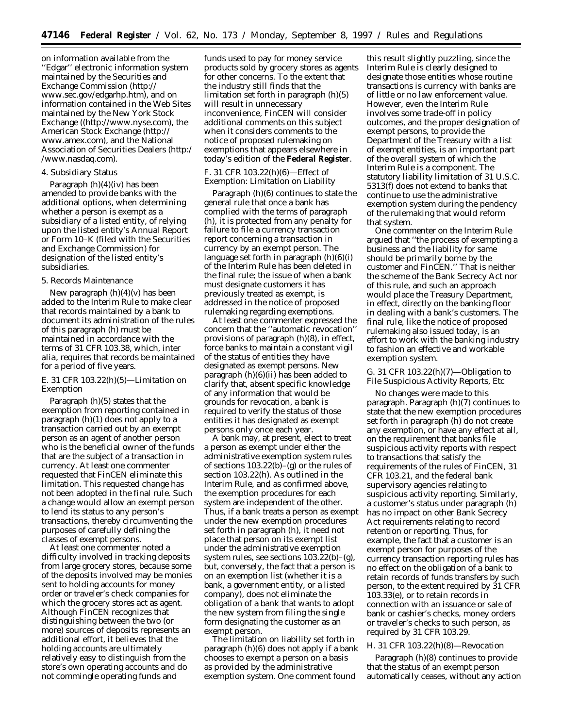on information available from the ''Edgar'' electronic information system maintained by the Securities and Exchange Commission (http:// www.sec.gov/edgarhp.htm), and on information contained in the Web Sites maintained by the New York Stock Exchange ((http://www.nyse.com), the American Stock Exchange (http:// www.amex.com), and the National Association of Securities Dealers (http:/ /www.nasdaq.com).

#### 4. Subsidiary Status

Paragraph (h)(4)(iv) has been amended to provide banks with the additional options, when determining whether a person is exempt as a subsidiary of a listed entity, of relying upon the listed entity's Annual Report or Form 10–K (filed with the Securities and Exchange Commission) for designation of the listed entity's subsidiaries.

#### 5. Records Maintenance

New paragraph  $(h)(4)(v)$  has been added to the Interim Rule to make clear that records maintained by a bank to document its administration of the rules of this paragraph (h) must be maintained in accordance with the terms of 31 CFR 103.38, which, *inter alia,* requires that records be maintained for a period of five years.

#### *E. 31 CFR 103.22(h)(5)—Limitation on Exemption*

Paragraph (h)(5) states that the exemption from reporting contained in paragraph (h)(1) does not apply to a transaction carried out by an exempt person as an agent of another person who is the beneficial owner of the funds that are the subject of a transaction in currency. At least one commenter requested that FinCEN eliminate this limitation. This requested change has not been adopted in the final rule. Such a change would allow an exempt person to lend its status to any person's transactions, thereby circumventing the purposes of carefully defining the classes of exempt persons.

At least one commenter noted a difficulty involved in tracking deposits from large grocery stores, because some of the deposits involved may be monies sent to holding accounts for money order or traveler's check companies for which the grocery stores act as agent. Although FinCEN recognizes that distinguishing between the two (or more) sources of deposits represents an additional effort, it believes that the holding accounts are ultimately relatively easy to distinguish from the store's own operating accounts and do not commingle operating funds and

funds used to pay for money service products sold by grocery stores as agents for other concerns. To the extent that the industry still finds that the limitation set forth in paragraph (h)(5) will result in unnecessary inconvenience, FinCEN will consider additional comments on this subject when it considers comments to the notice of proposed rulemaking on exemptions that appears elsewhere in today's edition of the **Federal Register**.

#### *F. 31 CFR 103.22(h)(6)—Effect of Exemption: Limitation on Liability*

Paragraph (h)(6) continues to state the general rule that once a bank has complied with the terms of paragraph (h), it is protected from any penalty for failure to file a currency transaction report concerning a transaction in currency by an exempt person. The language set forth in paragraph (h)(6)(i) of the Interim Rule has been deleted in the final rule; the issue of when a bank must designate customers it has previously treated as exempt, is addressed in the notice of proposed rulemaking regarding exemptions.

At least one commenter expressed the concern that the ''automatic revocation'' provisions of paragraph (h)(8), in effect, force banks to maintain a constant vigil of the status of entities they have designated as exempt persons. New paragraph (h)(6)(ii) has been added to clarify that, absent specific knowledge of any information that would be grounds for revocation, a bank is required to verify the status of those entities it has designated as exempt persons only once each year.

A bank may, at present, elect to treat a person as exempt under either the administrative exemption system rules of sections 103.22(b)–(g) or the rules of section 103.22(h). As outlined in the Interim Rule, and as confirmed above, the exemption procedures for each system are independent of the other. Thus, if a bank treats a person as exempt under the new exemption procedures set forth in paragraph (h), it need not place that person on its exempt list under the administrative exemption system rules, *see* sections 103.22(b)–(g), but, conversely, the fact that a person is on an exemption list (whether it is a bank, a government entity, or a listed company), does not eliminate the obligation of a bank that wants to adopt the new system from filing the single form designating the customer as an exempt person.

The limitation on liability set forth in paragraph (h)(6) does not apply if a bank chooses to exempt a person on a basis as provided by the administrative exemption system. One comment found

this result slightly puzzling, since the Interim Rule is clearly designed to designate those entities whose routine transactions is currency with banks are of little or no law enforcement value. However, even the Interim Rule involves some trade-off in policy outcomes, and the proper designation of exempt persons, to provide the Department of the Treasury with a list of exempt entities, is an important part of the overall system of which the Interim Rule is a component. The statutory liability limitation of 31 U.S.C. 5313(f) does not extend to banks that continue to use the administrative exemption system during the pendency of the rulemaking that would reform that system.

One commenter on the Interim Rule argued that ''the process of exempting a business and the liability for same should be primarily borne by the customer and FinCEN.'' That is neither the scheme of the Bank Secrecy Act nor of this rule, and such an approach would place the Treasury Department, in effect, directly on the banking floor in dealing with a bank's customers. The final rule, like the notice of proposed rulemaking also issued today, is an effort to work with the banking industry to fashion an effective and workable exemption system.

#### *G. 31 CFR 103.22(h)(7)—Obligation to File Suspicious Activity Reports, Etc*

No changes were made to this paragraph. Paragraph (h)(7) continues to state that the new exemption procedures set forth in paragraph (h) do not create any exemption, or have any effect at all, on the requirement that banks file suspicious activity reports with respect to transactions that satisfy the requirements of the rules of FinCEN, 31 CFR 103.21, and the federal bank supervisory agencies relating to suspicious activity reporting. Similarly, a customer's status under paragraph (h) has no impact on other Bank Secrecy Act requirements relating to record retention or reporting. Thus, for example, the fact that a customer is an exempt person for purposes of the currency transaction reporting rules has *no* effect on the obligation of a bank to retain records of funds transfers by such person, to the extent required by 31 CFR 103.33(e), or to retain records in connection with an issuance or sale of bank or cashier's checks, money orders or traveler's checks to such person, as required by 31 CFR 103.29.

#### *H. 31 CFR 103.22(h)(8)—Revocation*

Paragraph (h)(8) continues to provide that the status of an exempt person automatically ceases, without any action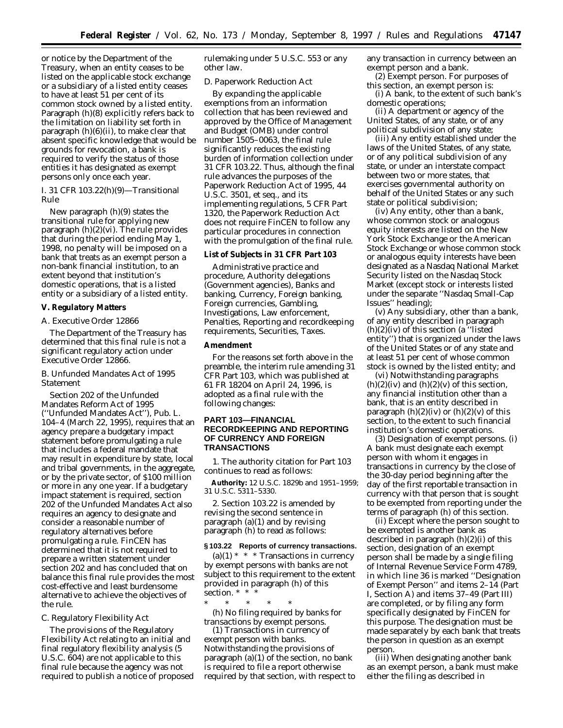or notice by the Department of the Treasury, when an entity ceases to be listed on the applicable stock exchange or a subsidiary of a listed entity ceases to have at least 51 per cent of its common stock owned by a listed entity. Paragraph (h)(8) explicitly refers back to the limitation on liability set forth in paragraph (h)(6)(ii), to make clear that absent specific knowledge that would be grounds for revocation, a bank is required to verify the status of those entities it has designated as exempt persons only once each year.

#### *I. 31 CFR 103.22(h)(9)—Transitional Rule*

New paragraph (h)(9) states the transitional rule for applying new paragraph (h)(2)(vi). The rule provides that during the period ending May 1, 1998, no penalty will be imposed on a bank that treats as an exempt person a non-bank financial institution, to an extent beyond that institution's domestic operations, that is a listed entity or a subsidiary of a listed entity.

#### **V. Regulatory Matters**

#### *A. Executive Order 12866*

The Department of the Treasury has determined that this final rule is not a significant regulatory action under Executive Order 12866.

#### *B. Unfunded Mandates Act of 1995 Statement*

Section 202 of the Unfunded Mandates Reform Act of 1995 (''Unfunded Mandates Act''), Pub. L. 104–4 (March 22, 1995), requires that an agency prepare a budgetary impact statement before promulgating a rule that includes a federal mandate that may result in expenditure by state, local and tribal governments, in the aggregate, or by the private sector, of \$100 million or more in any one year. If a budgetary impact statement is required, section 202 of the Unfunded Mandates Act also requires an agency to designate and consider a reasonable number of regulatory alternatives before promulgating a rule. FinCEN has determined that it is not required to prepare a written statement under section 202 and has concluded that on balance this final rule provides the most cost-effective and least burdensome alternative to achieve the objectives of the rule.

#### *C. Regulatory Flexibility Act*

The provisions of the Regulatory Flexibility Act relating to an initial and final regulatory flexibility analysis (5 U.S.C. 604) are not applicable to this final rule because the agency was not required to publish a notice of proposed rulemaking under 5 U.S.C. 553 or any other law.

#### *D. Paperwork Reduction Act*

By expanding the applicable exemptions from an information collection that has been reviewed and approved by the Office of Management and Budget (OMB) under control number 1505–0063, the final rule significantly reduces the existing burden of information collection under 31 CFR 103.22. Thus, although the final rule advances the purposes of the Paperwork Reduction Act of 1995, 44 U.S.C. 3501, *et seq.,* and its implementing regulations, 5 CFR Part 1320, the Paperwork Reduction Act does not require FinCEN to follow any particular procedures in connection with the promulgation of the final rule.

#### **List of Subjects in 31 CFR Part 103**

Administrative practice and procedure, Authority delegations (Government agencies), Banks and banking, Currency, Foreign banking, Foreign currencies, Gambling, Investigations, Law enforcement, Penalties, Reporting and recordkeeping requirements, Securities, Taxes.

#### **Amendment**

For the reasons set forth above in the preamble, the interim rule amending 31 CFR Part 103, which was published at 61 FR 18204 on April 24, 1996, is adopted as a final rule with the following changes:

#### **PART 103—FINANCIAL RECORDKEEPING AND REPORTING OF CURRENCY AND FOREIGN TRANSACTIONS**

1. The authority citation for Part 103 continues to read as follows:

**Authority:** 12 U.S.C. 1829b and 1951–1959; 31 U.S.C. 5311–5330.

2. Section 103.22 is amended by revising the second sentence in paragraph  $(a)(1)$  and by revising paragraph (h) to read as follows:

#### **§ 103.22 Reports of currency transactions.**

 $(a)(1)$  \* \* \* Transactions in currency by exempt persons with banks are not subject to this requirement to the extent provided in paragraph (h) of this section. \* \*

\* \* \* \* \* (h) *No filing required by banks for transactions by exempt persons.*

(1) *Transactions in currency of exempt person with banks.* Notwithstanding the provisions of paragraph (a)(1) of the section, no bank is required to file a report otherwise required by that section, with respect to any transaction in currency between an exempt person and a bank.

(2) *Exempt person.* For purposes of this section, an exempt person is:

(i) A bank, to the extent of such bank's domestic operations;

(ii) A department or agency of the United States, of any state, or of any political subdivision of any state;

(iii) Any entity established under the laws of the United States, of any state, or of any political subdivision of any state, or under an interstate compact between two or more states, that exercises governmental authority on behalf of the United States or any such state or political subdivision;

(iv) Any entity, other than a bank, whose common stock or analogous equity interests are listed on the New York Stock Exchange or the American Stock Exchange or whose common stock or analogous equity interests have been designated as a Nasdaq National Market Security listed on the Nasdaq Stock Market (except stock or interests listed under the separate ''Nasdaq Small-Cap Issues'' heading);

(v) Any subsidiary, other than a bank, of any entity described in paragraph (h)(2)(iv) of this section (a ''listed entity'') that is organized under the laws of the United States or of any state and at least 51 per cent of whose common stock is owned by the listed entity; and

(vi) Notwithstanding paragraphs  $(h)(2)(iv)$  and  $(h)(2)(v)$  of this section, any financial institution other than a bank, that is an entity described in paragraph  $(h)(2)(iv)$  or  $(h)(2)(v)$  of this section, to the extent to such financial institution's domestic operations.

(3) *Designation of exempt persons.* (i) A bank must designate each exempt person with whom it engages in transactions in currency by the close of the 30-day period beginning after the day of the first reportable transaction in currency with that person that is sought to be exempted from reporting under the terms of paragraph (h) of this section.

(ii) Except where the person sought to be exempted is another bank as described in paragraph (h)(2)(i) of this section, designation of an exempt person shall be made by a single filing of Internal Revenue Service Form 4789, in which line 36 is marked ''Designation of Exempt Person'' and items 2–14 (Part I, Section A) and items 37–49 (Part III) are completed, or by filing any form specifically designated by FinCEN for this purpose. The designation must be made separately by each bank that treats the person in question as an exempt person.

(iii) When designating another bank as an exempt person, a bank must make either the filing as described in